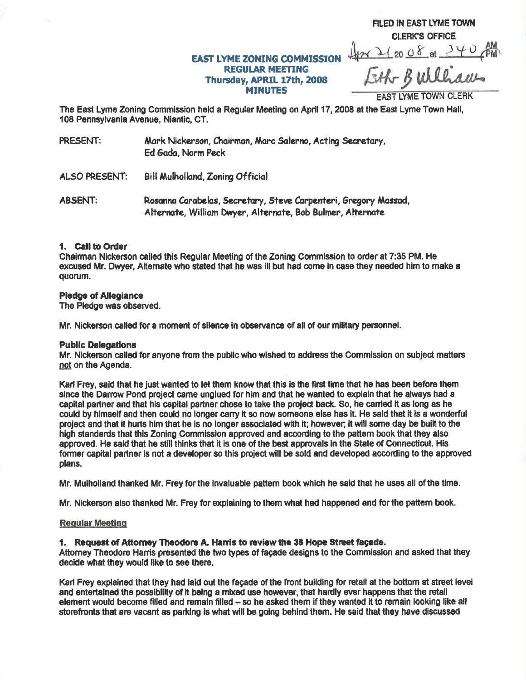## **EAST LYME ZONING COMMISSION REGULAR MEETING** Thursday, APRIL 17th, 2008 **MINUTES**

Eth Bulliams

FILED IN EAST LYME TOWN **CLERK'S OFFICE** 42 2 20 08 at 340 AM

**FAST IYME TOWN CLERK** 

The East Lyme Zoning Commission held a Regular Meeting on April 17, 2008 at the East Lyme Town Hall, 108 Pennsylvania Avenue, Niantic, CT.

PRESENT: Mark Nickerson, Chairman, Marc Salerno, Acting Secretary, Ed Gada, Norm Peck

**ALSO PRESENT: Bill Mulholland, Zonina Official** 

Rosanna Carabelas, Secretary, Steve Carpenteri, Gregory Massad, **ABSENT:** Alternate, William Dwyer, Alternate, Bob Bulmer, Alternate

#### 1. Call to Order

Chairman Nickerson called this Regular Meeting of the Zoning Commission to order at 7:35 PM. He excused Mr. Dwyer, Alternate who stated that he was ill but had come in case they needed him to make a quorum.

#### **Pledge of Allegiance**

The Pledge was observed.

Mr. Nickerson called for a moment of silence in observance of all of our military personnel.

#### **Public Delegations**

Mr. Nickerson called for anyone from the public who wished to address the Commission on subject matters not on the Agenda.

Karl Frey, said that he just wanted to let them know that this is the first time that he has been before them since the Darrow Pond project came unglued for him and that he wanted to explain that he always had a capital partner and that his capital partner chose to take the project back. So, he carried it as long as he could by himself and then could no longer carry it so now someone else has it. He said that it is a wonderful project and that it hurts him that he is no longer associated with it: however; it will some day be built to the high standards that this Zoning Commission approved and according to the pattern book that they also approved. He said that he still thinks that it is one of the best approvals in the State of Connecticut. His former capital partner is not a developer so this project will be sold and developed according to the approved plans.

Mr. Mulholland thanked Mr. Frey for the invaluable pattern book which he said that he uses all of the time.

Mr. Nickerson also thanked Mr. Frey for explaining to them what had happened and for the pattern book.

#### **Regular Meeting**

#### 1. Request of Attorney Theodore A. Harris to review the 38 Hope Street façade.

Attorney Theodore Harris presented the two types of facade designs to the Commission and asked that they decide what they would like to see there.

Karl Frey explained that they had laid out the facade of the front building for retail at the bottom at street level and entertained the possibility of it being a mixed use however, that hardly ever happens that the retail element would become filled and remain filled - so he asked them if they wanted it to remain looking like all storefronts that are vacant as parking is what will be going behind them. He said that they have discussed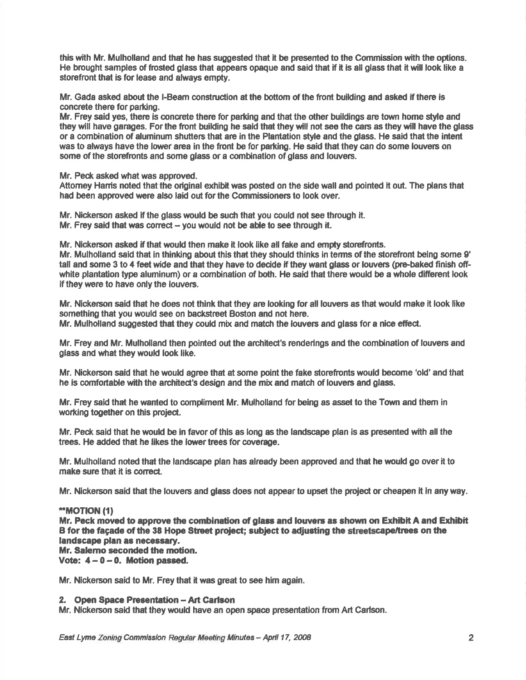this with Mr, Mulholland and that he has suggested that it be presented to the Commission with the oflions. He brought samples of frosted glass that appears opaque and said that if it is all glass that it will look like a storefront that is for lease and always empty.

Mr. Gada asked ebout the l-Beam construc{ion at the bottom of the fiont building and asked if there is concrete there for parking.

Mr. Frey said yes, there is concrete there for parking and that the other buildings are town home style and they will have garages. For the front building he said that they will not see the cars as they will have the glass or a combination of aluminum shutters that are in the Plantation style and the glass. He said that the intent was to always have the lower area in the front be for parking. He said that they can do some louvers on some of the storefronts and some glass or a combination of glass and louvers.

Mr. Peck asked what was approved.

Attomey Hamis noted that the original exhibit was posted on the side wall and pointed it out. The plans that had been approved were also laid out forthe Commissioners lo look over.

Mr. Nickerson asked if the glass would be such that you could not see through it. Mr. Frey said that was correct  $-$  you would not be able to see through it.

Mr. Nickerson asked if that would then make it look like all fake and empty storefronts.

Mr. Mulholland said that in thinking about this that they should thinks in terms of the storefront being some 9' tall and some 3 to 4 feet wide and that they have to decide if they want glass or louvers (pre-baked finish offwhite plantation type aluminum) or a combination of both. He said that there would be a whole different look if they were to have only the louvers.

Mr. Nickerson said that he does not think that they ere looking for all louvers as that would make it look like something that you would see on backstreet Boston and not here. Mr. Mulholland suggested that they could mix and match the louvers and glass for a nice effect.

Mr. Frey and Mr. Mulholland then pointed out the architect's renderings and the combination of louvers and glass and what they would look like.

Mr. Nickerson said that he would agree that at some point the fake storefronts would become 'old' and that he is comfortable with the architect's design and the mix and match of louvers and glass.

Mr. Frey said thet he wanted to compliment Mr. Mulholland for being as asset to the Tovn and them in working together on this projecl.

Mr. Peck said that he would be in favor of this as long as the landscape plan is as presented with allthe trees. He added that he likes the lower trees for coverage.

Mr. Mulholland noled that the landscape plan has already been approved and that he would go over it to make sure that it is correct.

Mr. Nickerson said that the louvers and glass does not appear to upset the project or cheapen it in any way.

#### \*\*MOTION (1)

Mr. Peck moved to approve the combination of glass and louvers as shown on Exhibit A and Exhibit B for the facade of the 38 Hope Street project; subject to adjusting the streetscape/trees on the landscape plan as necessary. Mr. Salemo seconded the motion.

Vote:  $4-0-0$ . Motion passed.

Mr. Nickerson sald to Mr. Frey that it was great to see him again.

#### 2. Open Space Presentation - Art Carlson

Mr. Nickerson said that they would have an open space presentation from Art Carlson.

East Lyme Zoning Commission Regular Meeting Minutes -- April 17, 2008 2014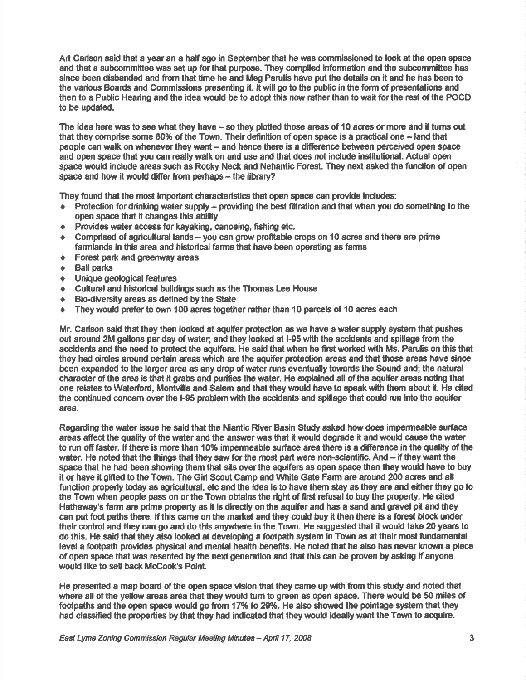Art Carlson said that a year an a half ago in September that he was commissioned to look at the open space and that a subcommittee was set up for that purpose. They compiled information and the subcommittee has since been disbanded and from that time he and Meg Parulis have put the details on it and he has been to the various Boards and Commissions presenting it. It will go to the public in the form of presentations and then to a Public Hearing and the idea would be to adopt this now rather than to wait for the rest of the POCD to be updated.

The idea here was to see what they have – so they plotted those areas of 10 acres or more and it turns out that they comprise some 60% of the Town. Their definition of open space is a practical one -- land that people can walk on whenever they want - and hence there is a difference between perceived open space and open space that you can really walk on and use and that does not include institutional. Actual open space would include areas such as Rocky Neck and Nehantic Forest. They next asked the function of open space and how it would differ from perhaps - the library?

They found that the most important characteristics that open space can provide includes:

- Protection for drinking water supply providing the best filtration and that when you do something to the  $\triangle$ open space that it changes this ability
- Provides water access for kayaking, canoeing, fishing etc.
- Comprised of agricultural lands you can grow profitable crops on 10 acres and there are prime familands in this area and historical farms that have been operating as farms
- ♦ Forest park and greenway areas
- **Ball parks**  $\bullet$
- Unique geological features  $\bullet$
- Cultural and historical buildings such as the Thomas Lee House  $\bullet$
- Bio-diversity areas as defined by the State  $\bullet$
- They would prefer to own 100 acres together rather than 10 parcels of 10 acres each  $\bullet$

Mr. Carlson said that they then looked at aquifer protection as we have a water supply system that pushes out around 2M gallons per day of water; and they looked at I-95 with the accidents and spillage from the accidents and the need to protect the aquifers. He said that when he first worked with Ms. Parulis on this that they had circles around certain areas which are the aquifer protection areas and that those areas have since been expanded to the larger area as any drop of water runs eventually towards the Sound and; the natural character of the area is that it grabs and purifies the water. He explained all of the aquifer areas noting that one relates to Waterford, Montville and Salem and that they would have to speak with them about it. He cited the continued concem over the I-95 problem with the accidents and spillage that could run into the aquifer area.

Regarding the water issue he said that the Niantic River Basin Study asked how does impermeable surface areas affect the quality of the water and the answer was that it would degrade it and would cause the water to run off faster. If there is more than 10% impermeable surface area there is a difference in the quality of the water. He noted that the things that they saw for the most part were non-scientific. And - if they want the space that he had been showing them that sits over the aguifers as open space then they would have to buy it or have it gifted to the Town. The Girl Scout Camp and White Gate Farm are around 200 acres and all function properly today as agricultural, etc and the idea is to have them stay as they are and either they go to the Town when people pass on or the Town obtains the right of first refusal to buy the property. He cited Hathaway's farm are prime property as it is directly on the aquifer and has a sand and gravel pit and they can put foot paths there. If this came on the market and they could buy it then there is a forest block under their control and they can go and do this anywhere in the Town. He suggested that it would take 20 years to do this. He said that they also looked at developing a footpath system in Town as at their most fundamental level a footpath provides physical and mental health benefits. He noted that he also has never known a piece of open space that was resented by the next generation and that this can be proven by asking if anyone would like to sell back McCook's Point.

He presented a map board of the open space vision that they came up with from this study and noted that where all of the yellow areas area that they would turn to green as open space. There would be 50 miles of footpaths and the open space would go from 17% to 29%. He also showed the pointage system that they had classified the properties by that they had indicated that they would ideally want the Town to acquire.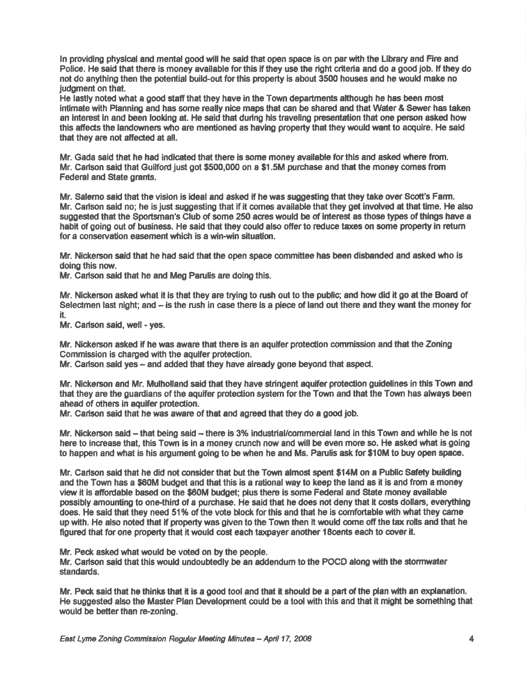In providing physical and mental good will he said that open space is on par with the Library and Fire and Police. He said that there is money available for this if they use the right criteria and do a good job. If they do not do anything then the potential build-out for this property is about 3500 houses and he would make no judgment on that.

He lastly noted what a good staff that they have in the Town departments although he has been most intimate with Planning and has some really nice maps that can be shared and that Water & Sewer has taken an interest in and been looking at. He said that during his traveling presentation that one person asked how this affects the landowners who are mentioned as having property that they would want to acquire. He said that they are not afiected at all.

Mr. Gada said that he had indicated that there is some money available for this and asked where from. Mr. Carlson said that Guilford just got \$500,000 on a \$1.5M purchase and that the money comes from Federal and State grants.

Mr. Salemo said that the vision is ideal and asked if he was suggesting that they take over Scott's Farm. Mr. Carlson said no; he is just suggesting that if it comes available that they get involved at that time. He also suggested that the Sportsman's Club of some 250 acres would be of interest as those types of things have a habit of going out of business. He said that they could also offer to reduce taxes on some property in return for a conservation easement which is a win-win situation.

Mr. Nickerson said that he had said that the open space committee has been disbanded and asked who is doing this now.

Mr. Carlson said that he and Meg Parulis are doing this.

Mr. Nickerson asked what it is that they are trying to rush out to the public; and how did it go at the Board of Selectmen last night; and - is the rush in case there is a piece of land out there and they want the money for it.

Mr. Carlson said, well - yes.

Mr. Nickerson asked if he was aware that there is an aquifer protection commission and that the Zoning Commission is charged with the aquifer protection.

Mr. Carlson said yes - and added that they have already gone beyond that aspect.

Mr. Nickerson and Mr. Mulholland said that they have stringent aquifer protedion guldelines in this Town and that they are the guardians of the aquifer protection system for the Town and that the Town has always been ahead of others in aquffer protedion.

Mr. Carlson said that he was aware of that and agreed that they do a good job.

Mr. Nickerson said -- that being said -- there is 3% industrial/commercial land in this Town and while he is not here to increase that, this Town is in a money crunch now and will be even more so. He asked what is going to happen and what is his argument going to be when he and Ms. Parulis ask for \$10M to buy open space.

Mr. Carlson said that he did not consider that but the Town almost spent \$14M on a Public Safety building and the Town has a \$60M budget and that this is a rational way to keep the land as it is and from a money view it is affordable based on the \$60M budget; plus there is some Federal and State money available possibly amounting to one-third of a purchase. He said that he does not deny that it costs dollars, everything does. He said that they need 51% of the vote block for this and that he is comfortable with what they came up with. He also noted that if property was given to the Town then it would come off the tax rolls and that he figured that for one property that it would cost each taxpayer another 18 cents each to cover it.

Mr. Peck asked what would be voted on by the people.

Mr. Carlson said that this would undoubtedly be an addendum to the POCD along with the stormwater standards.

Mr. Peck said that he thinks that it is a good tool and that it should be a part of the plan with an explanation. He suggested also the Master Plan Development could be a tool with this and that it might be something that would be better than re-zoning.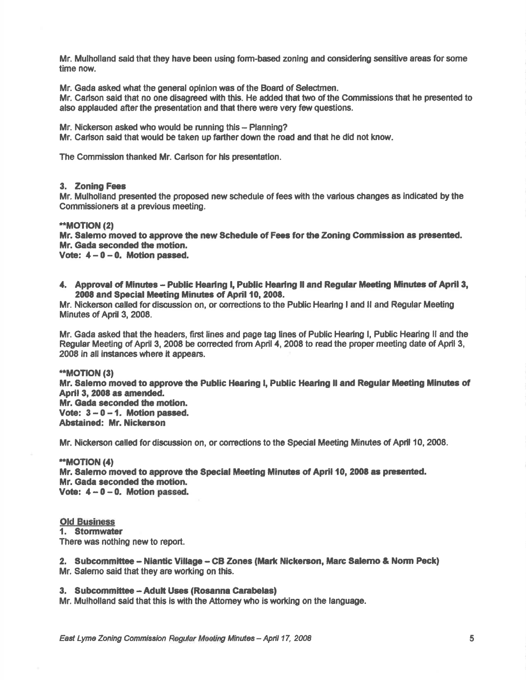Mr. Mulholland said that lhey have been using fom-based zoning and considering sensitive areas for some time now.

Mr. Gada asked what the general opinion was of the Board of Selectmen.

Mr. Carlson said that no one disagreed with this. He added that two of the Commissions that he presented to also applauded after the presentation and that there were very few questions.

Mr. Nickerson asked who would be running this - Planning?

Mr. Carlson said that would be taken up farther down the road and that he did not know.

The Commisslon thanked Mr. Carlson for hls presentation.

#### 3. Zoning Fees

Mr. Mulholland presented the prcposed new schedule of fees with the various changes as indicated by the Commissioners at a previous meeting.

#### \*\*MOTION (2)

Mr. Salemo moved to approve the new Schedule of Fees for the Zoning Commission as presented. Mr. Gada seconded the motion.

Vote:  $4 - 0 - 0$ . Motion passed.

4. Approval of Minutes - Public Hearing I, Public Hearing II and Regular Meeting Minutes of April 3, 2008 and \$pecial Mecting Minutes of April 10,2008.

Mr. Nlckerson called fordiscussion on, or conecfions to the Public Hearing I and ll and Regular Meeting Minutes of April 3, 2008.

Mr. Gada asked that the headers, first lines and page tag lines of Public Hearing I, Public Hearing II and the Regular Meeting of April 3, 2008 be corrected from April 4, 2008 to read the proper meeting date of April 3, 2008 in all instanees where it appeas.

#### \*\*MOT|ON (31

Mr. Salemo moved to approve the Public Hearing I, Public Hearing II and Regular Meeting Minutes of April 3, 2008 as amended. Mr. Gada seconded the motion.

Vote:  $3 - 0 - 1$ . Motion passed. Abstained: Mr. Nickerson

Mr. Nickerson called for discussion on, or corrections to the Special Meeting Minutes of April 10, 2008.

#### \*MOTION (41

Mr. Salemo moved to approve the Special Meeting Minutes of April 10, 2008 as presented. Mr. Gada seconded the motion. Vote:  $4 - 0 - 0$ . Motion passed.

#### Old Buginess

1. Stormwater There was nothing new to report.

2. Subcommittee - Niantic Village - CB Zones (Mark Nickerson, Marc Salerno & Norm Peck) Mr. Salemo said that they are working on this.

#### 3. Subcommittee - Adult Uses (Rosanna Carabelas)

Mr. Mulholland said that this is with the Attomey who is working on the language.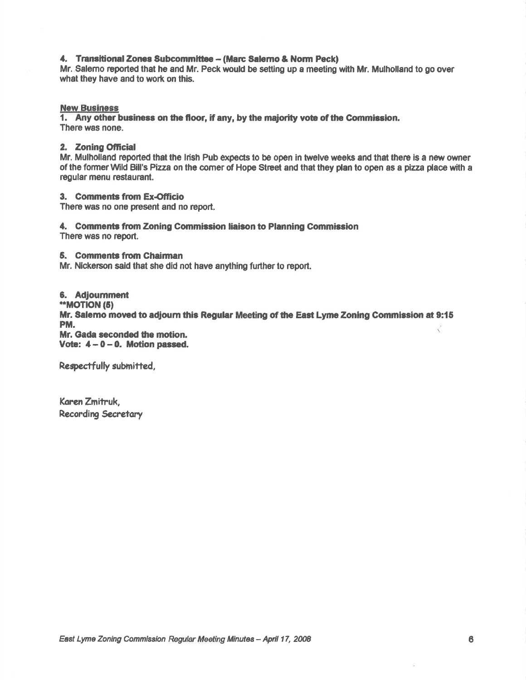#### 4. Transitional Zones Subcommittee - (Marc Salemo & Norm Peck)

Mr. Salerno reported that he and Mr. Peck would be setting up a meeting with Mr. Mulholland to go over what they have and to work on this.

#### **New Business**

1. Any other business on the floor, if any, by the majority vote of the Commission. There was none.

#### 2. Zoning Official

Mr. Mulholland reported that the Irish Pub expects to be open in twelve weeks and that there is a new owner of the former Wild Bill's Pizza on the comer of Hope Street and that they plan to open as a pizza place with a requiar menu restaurant.

3. Comments from Ex-Officio

There was no one present and no report.

# 4. Comments from Zoning Commission liaison to Planning Commission

There was no report.

#### 5. Comments from Chairman

Mr. Nickerson said that she did not have anything further to report.

#### 6. Adjournment

\*\*MOTION (5)

Mr. Salemo moved to adjourn this Regular Meeting of the East Lyme Zoning Commission at 9:15 PM.

Mr. Gada seconded the motion. Vote:  $4-0-0$ . Motion passed.

Respectfully submitted,

Karen Zmitruk. **Recording Secretary**